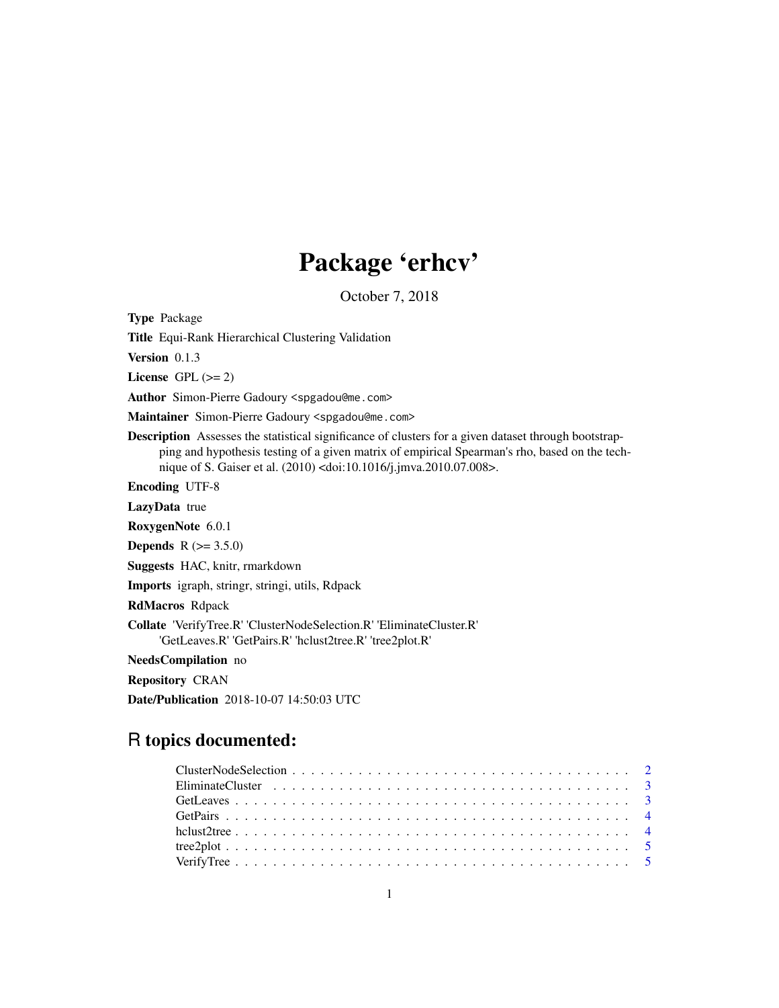## Package 'erhcv'

October 7, 2018

Type Package

Title Equi-Rank Hierarchical Clustering Validation

Version 0.1.3

License GPL  $(>= 2)$ 

Author Simon-Pierre Gadoury <spgadou@me.com>

Maintainer Simon-Pierre Gadoury <spgadou@me.com>

Description Assesses the statistical significance of clusters for a given dataset through bootstrapping and hypothesis testing of a given matrix of empirical Spearman's rho, based on the technique of S. Gaiser et al. (2010) <doi:10.1016/j.jmva.2010.07.008>.

Encoding UTF-8

LazyData true

RoxygenNote 6.0.1

**Depends** R  $(>= 3.5.0)$ 

Suggests HAC, knitr, rmarkdown

Imports igraph, stringr, stringi, utils, Rdpack

RdMacros Rdpack

Collate 'VerifyTree.R' 'ClusterNodeSelection.R' 'EliminateCluster.R' 'GetLeaves.R' 'GetPairs.R' 'hclust2tree.R' 'tree2plot.R'

NeedsCompilation no

Repository CRAN

Date/Publication 2018-10-07 14:50:03 UTC

### R topics documented: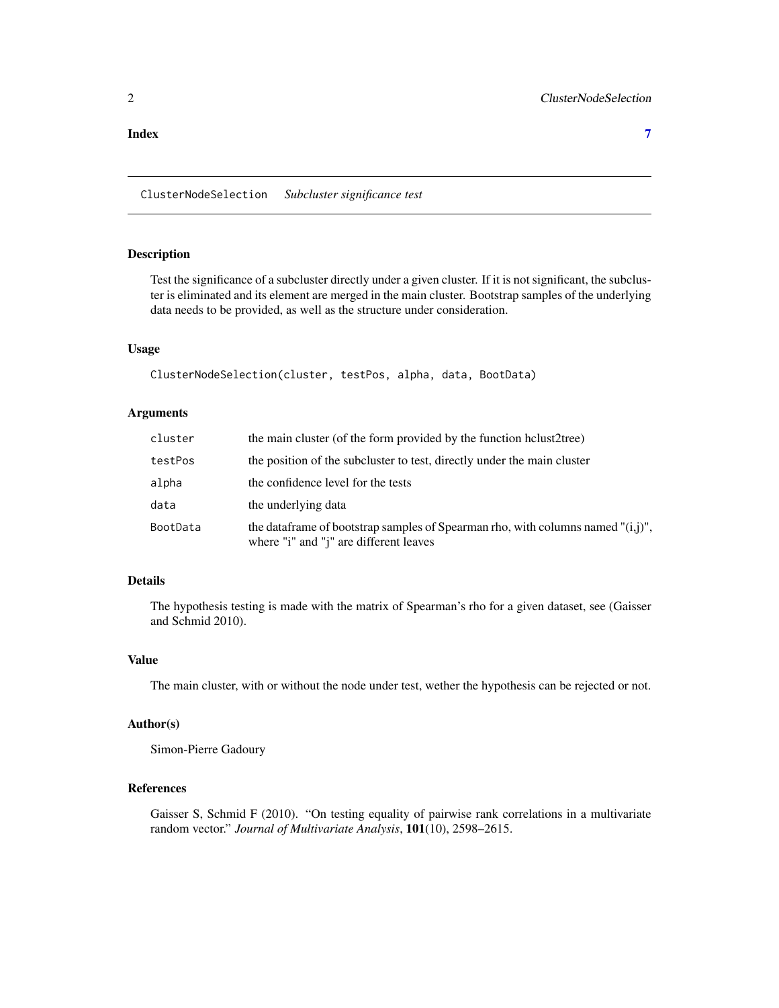<span id="page-1-0"></span>**Index** [7](#page-6-0) **7** 

ClusterNodeSelection *Subcluster significance test*

#### Description

Test the significance of a subcluster directly under a given cluster. If it is not significant, the subcluster is eliminated and its element are merged in the main cluster. Bootstrap samples of the underlying data needs to be provided, as well as the structure under consideration.

#### Usage

```
ClusterNodeSelection(cluster, testPos, alpha, data, BootData)
```
#### Arguments

| cluster  | the main cluster (of the form provided by the function helust2tree)                                                           |  |
|----------|-------------------------------------------------------------------------------------------------------------------------------|--|
| testPos  | the position of the subcluster to test, directly under the main cluster                                                       |  |
| alpha    | the confidence level for the tests                                                                                            |  |
| data     | the underlying data                                                                                                           |  |
| BootData | the data frame of bootstrap samples of Spearman rho, with columns named $"(i,j)"$ ,<br>where "i" and "j" are different leaves |  |

#### Details

The hypothesis testing is made with the matrix of Spearman's rho for a given dataset, see (Gaisser and Schmid 2010).

#### Value

The main cluster, with or without the node under test, wether the hypothesis can be rejected or not.

#### Author(s)

Simon-Pierre Gadoury

#### References

Gaisser S, Schmid F (2010). "On testing equality of pairwise rank correlations in a multivariate random vector." *Journal of Multivariate Analysis*, 101(10), 2598–2615.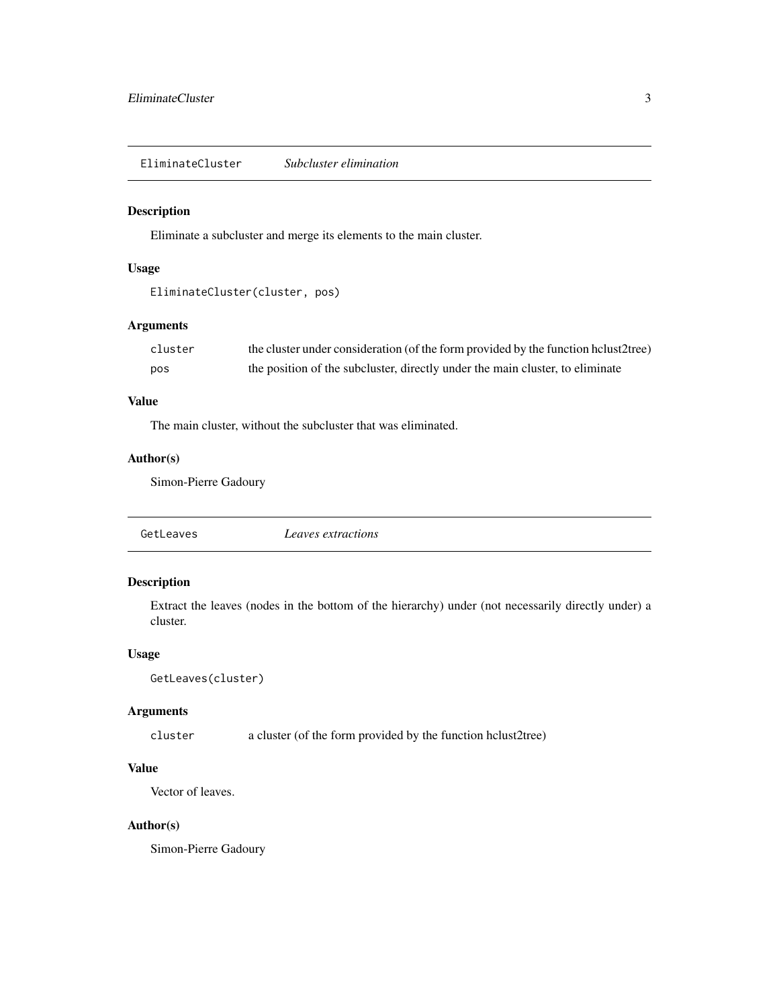<span id="page-2-0"></span>EliminateCluster *Subcluster elimination*

#### Description

Eliminate a subcluster and merge its elements to the main cluster.

#### Usage

```
EliminateCluster(cluster, pos)
```
#### Arguments

| cluster | the cluster under consideration (of the form provided by the function hclust2tree) |
|---------|------------------------------------------------------------------------------------|
| pos     | the position of the subcluster, directly under the main cluster, to eliminate      |

#### Value

The main cluster, without the subcluster that was eliminated.

#### Author(s)

Simon-Pierre Gadoury

| GetLeaves<br>Leaves extractions |
|---------------------------------|
|---------------------------------|

#### Description

Extract the leaves (nodes in the bottom of the hierarchy) under (not necessarily directly under) a cluster.

#### Usage

```
GetLeaves(cluster)
```
#### Arguments

cluster a cluster (of the form provided by the function hclust2tree)

#### Value

Vector of leaves.

#### Author(s)

Simon-Pierre Gadoury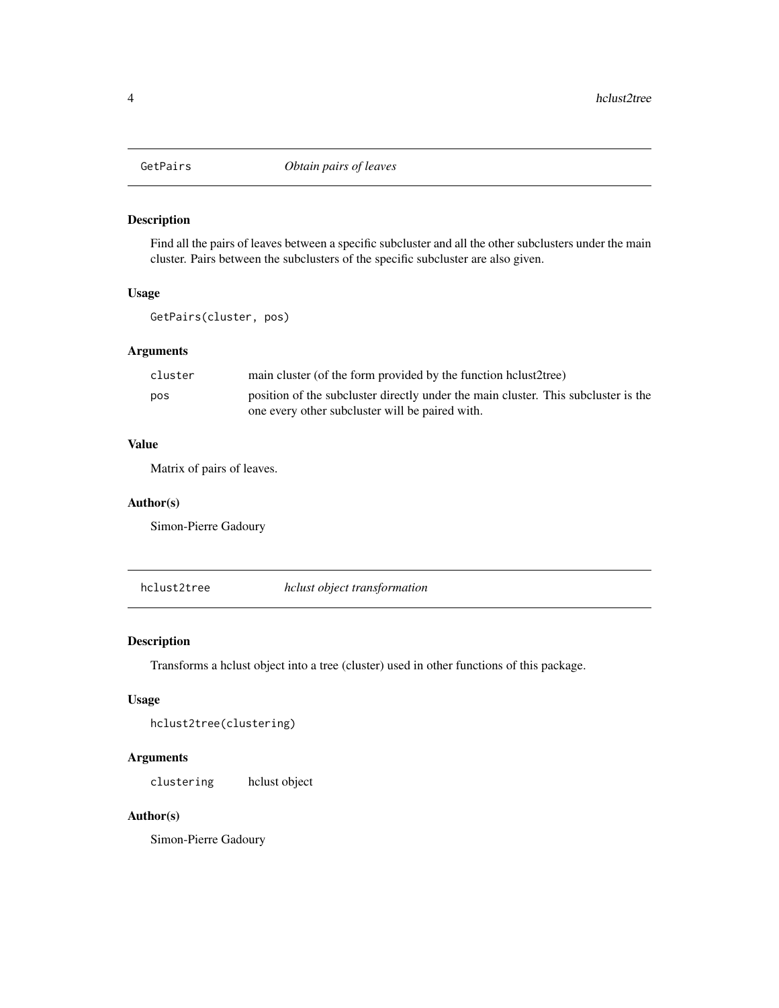<span id="page-3-0"></span>

#### Description

Find all the pairs of leaves between a specific subcluster and all the other subclusters under the main cluster. Pairs between the subclusters of the specific subcluster are also given.

#### Usage

GetPairs(cluster, pos)

#### Arguments

| cluster | main cluster (of the form provided by the function helust2tree)                    |
|---------|------------------------------------------------------------------------------------|
| pos     | position of the subcluster directly under the main cluster. This subcluster is the |
|         | one every other subcluster will be paired with.                                    |

#### Value

Matrix of pairs of leaves.

#### Author(s)

Simon-Pierre Gadoury

hclust2tree *hclust object transformation*

#### Description

Transforms a hclust object into a tree (cluster) used in other functions of this package.

#### Usage

```
hclust2tree(clustering)
```
#### Arguments

clustering hclust object

#### Author(s)

Simon-Pierre Gadoury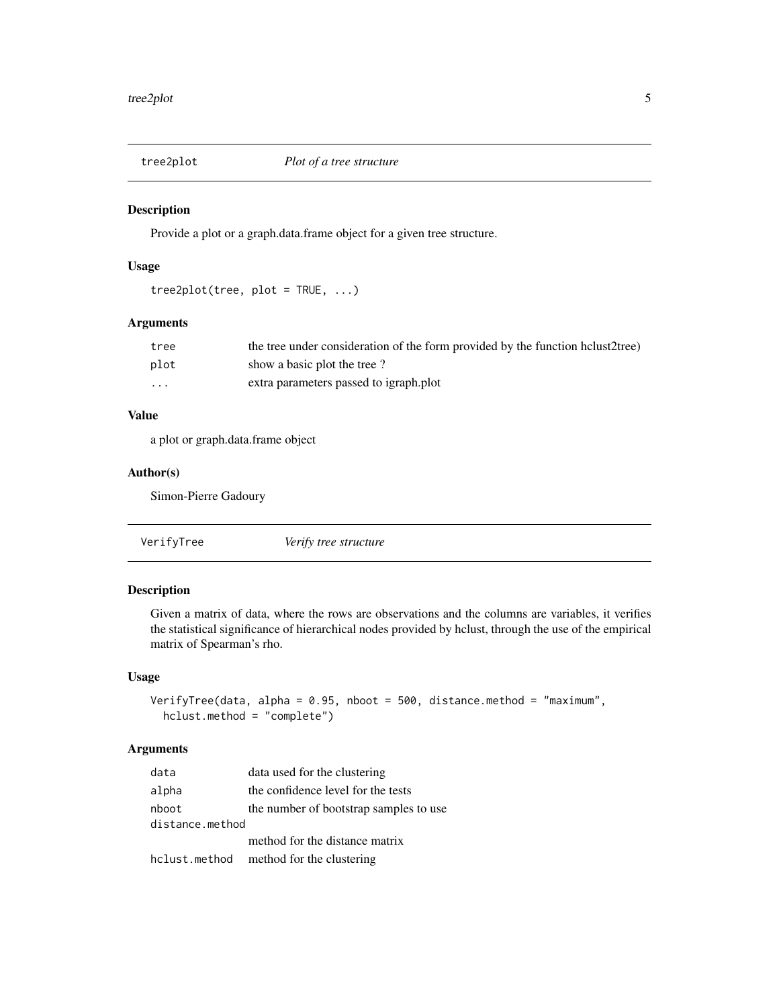<span id="page-4-0"></span>

#### Description

Provide a plot or a graph.data.frame object for a given tree structure.

#### Usage

```
tree2plot(tree, plot = TRUE, ...)
```
#### Arguments

| tree     | the tree under consideration of the form provided by the function helust2tree) |
|----------|--------------------------------------------------------------------------------|
| plot     | show a basic plot the tree?                                                    |
| $\cdots$ | extra parameters passed to igraph.plot                                         |

#### Value

a plot or graph.data.frame object

#### Author(s)

Simon-Pierre Gadoury

| VerifyTree | Verify tree structure |  |
|------------|-----------------------|--|
|------------|-----------------------|--|

#### Description

Given a matrix of data, where the rows are observations and the columns are variables, it verifies the statistical significance of hierarchical nodes provided by hclust, through the use of the empirical matrix of Spearman's rho.

#### Usage

```
VerifyTree(data, alpha = 0.95, nboot = 500, distance.method = "maximum",
 hclust.method = "complete")
```
#### Arguments

| data                     | data used for the clustering           |
|--------------------------|----------------------------------------|
| alpha                    | the confidence level for the tests     |
| nboot<br>distance.method | the number of bootstrap samples to use |
|                          | method for the distance matrix         |
| hclust.method            | method for the clustering              |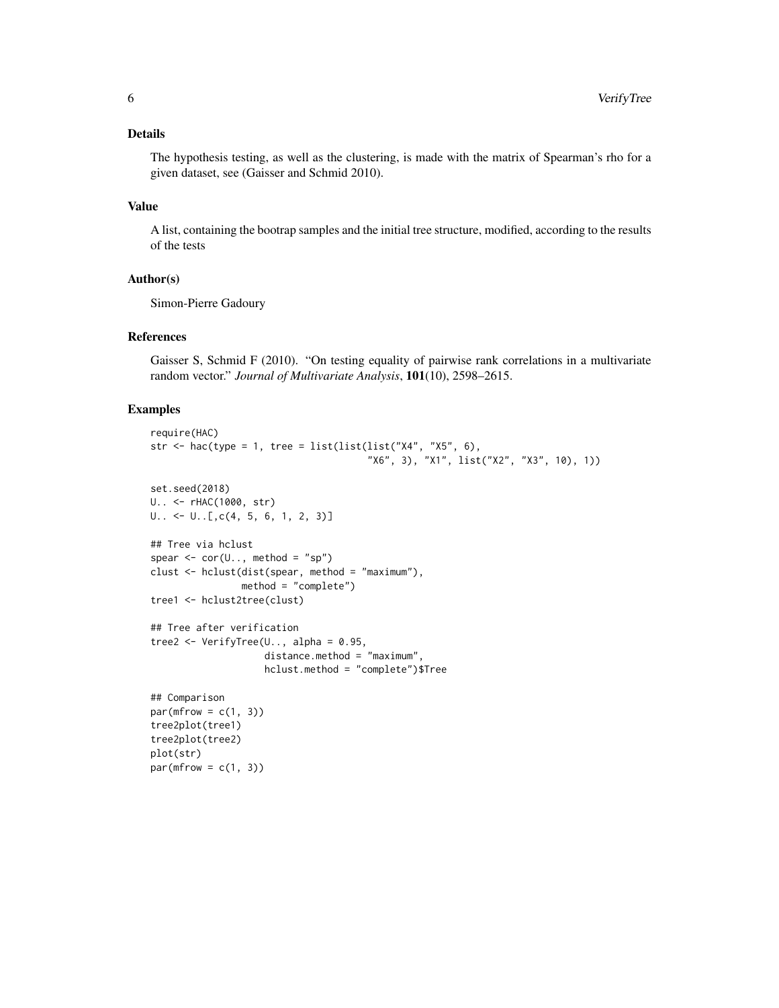#### Details

The hypothesis testing, as well as the clustering, is made with the matrix of Spearman's rho for a given dataset, see (Gaisser and Schmid 2010).

#### Value

A list, containing the bootrap samples and the initial tree structure, modified, according to the results of the tests

#### Author(s)

Simon-Pierre Gadoury

#### References

Gaisser S, Schmid F (2010). "On testing equality of pairwise rank correlations in a multivariate random vector." *Journal of Multivariate Analysis*, 101(10), 2598–2615.

#### Examples

```
require(HAC)
str \le hac(type = 1, tree = list(list(list("X4", "X5", 6),
                                      "X6", 3), "X1", list("X2", "X3", 10), 1))
set.seed(2018)
U.. <- rHAC(1000, str)
U.. <- U..[,c(4, 5, 6, 1, 2, 3)]
## Tree via hclust
spear \leq cor(U.., method = "sp")
clust <- hclust(dist(spear, method = "maximum"),
                method = "complete")
tree1 <- hclust2tree(clust)
## Tree after verification
tree2 \leq VerifyTree(U.., alpha = 0.95,
                    distance.method = "maximum",
                    hclust.method = "complete")$Tree
## Comparison
par(mfrow = c(1, 3))tree2plot(tree1)
tree2plot(tree2)
plot(str)
par(mfrow = c(1, 3))
```